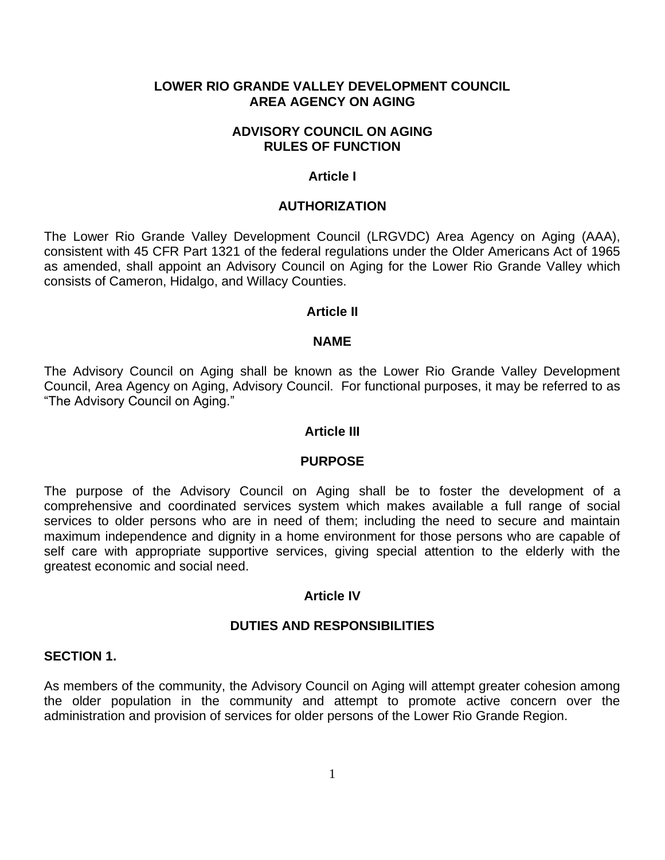## **LOWER RIO GRANDE VALLEY DEVELOPMENT COUNCIL AREA AGENCY ON AGING**

#### **ADVISORY COUNCIL ON AGING RULES OF FUNCTION**

#### **Article I**

#### **AUTHORIZATION**

The Lower Rio Grande Valley Development Council (LRGVDC) Area Agency on Aging (AAA), consistent with 45 CFR Part 1321 of the federal regulations under the Older Americans Act of 1965 as amended, shall appoint an Advisory Council on Aging for the Lower Rio Grande Valley which consists of Cameron, Hidalgo, and Willacy Counties.

#### **Article II**

#### **NAME**

The Advisory Council on Aging shall be known as the Lower Rio Grande Valley Development Council, Area Agency on Aging, Advisory Council. For functional purposes, it may be referred to as "The Advisory Council on Aging."

#### **Article III**

#### **PURPOSE**

The purpose of the Advisory Council on Aging shall be to foster the development of a comprehensive and coordinated services system which makes available a full range of social services to older persons who are in need of them; including the need to secure and maintain maximum independence and dignity in a home environment for those persons who are capable of self care with appropriate supportive services, giving special attention to the elderly with the greatest economic and social need.

#### **Article IV**

#### **DUTIES AND RESPONSIBILITIES**

#### **SECTION 1.**

As members of the community, the Advisory Council on Aging will attempt greater cohesion among the older population in the community and attempt to promote active concern over the administration and provision of services for older persons of the Lower Rio Grande Region.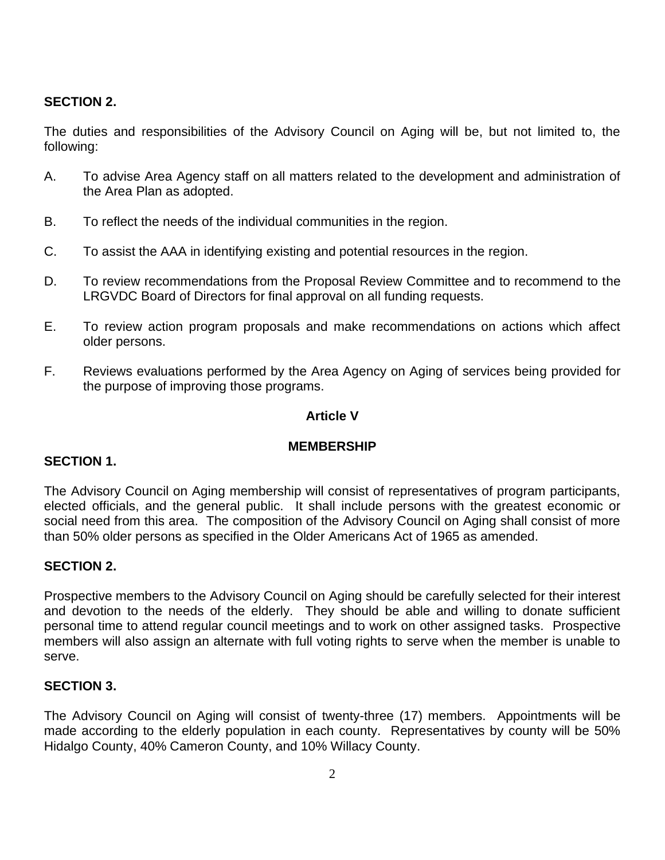# **SECTION 2.**

The duties and responsibilities of the Advisory Council on Aging will be, but not limited to, the following:

- A. To advise Area Agency staff on all matters related to the development and administration of the Area Plan as adopted.
- B. To reflect the needs of the individual communities in the region.
- C. To assist the AAA in identifying existing and potential resources in the region.
- D. To review recommendations from the Proposal Review Committee and to recommend to the LRGVDC Board of Directors for final approval on all funding requests.
- E. To review action program proposals and make recommendations on actions which affect older persons.
- F. Reviews evaluations performed by the Area Agency on Aging of services being provided for the purpose of improving those programs.

# **Article V**

# **MEMBERSHIP**

# **SECTION 1.**

The Advisory Council on Aging membership will consist of representatives of program participants, elected officials, and the general public. It shall include persons with the greatest economic or social need from this area. The composition of the Advisory Council on Aging shall consist of more than 50% older persons as specified in the Older Americans Act of 1965 as amended.

# **SECTION 2.**

Prospective members to the Advisory Council on Aging should be carefully selected for their interest and devotion to the needs of the elderly. They should be able and willing to donate sufficient personal time to attend regular council meetings and to work on other assigned tasks. Prospective members will also assign an alternate with full voting rights to serve when the member is unable to serve.

# **SECTION 3.**

The Advisory Council on Aging will consist of twenty-three (17) members. Appointments will be made according to the elderly population in each county. Representatives by county will be 50% Hidalgo County, 40% Cameron County, and 10% Willacy County.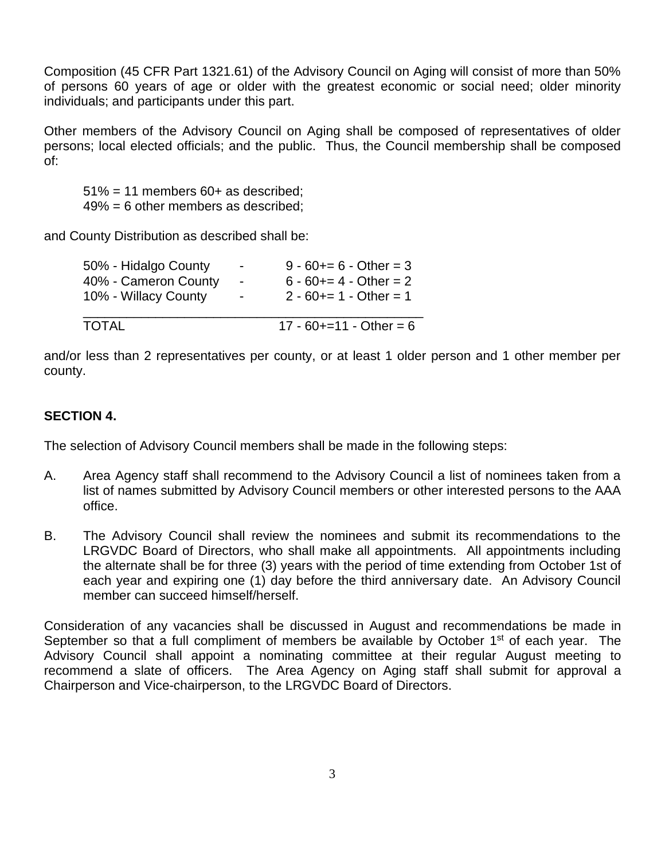Composition (45 CFR Part 1321.61) of the Advisory Council on Aging will consist of more than 50% of persons 60 years of age or older with the greatest economic or social need; older minority individuals; and participants under this part.

Other members of the Advisory Council on Aging shall be composed of representatives of older persons; local elected officials; and the public. Thus, the Council membership shall be composed of:

 $51\% = 11$  members  $60+$  as described; 49% = 6 other members as described;

and County Distribution as described shall be:

| 50% - Hidalgo County | $\blacksquare$           | $9 - 60 == 6 - Other = 3$    |  |
|----------------------|--------------------------|------------------------------|--|
| 40% - Cameron County | $\overline{\phantom{a}}$ | $6 - 60 + = 4 - Other = 2$   |  |
| 10% - Willacy County | $\blacksquare$           | $2 - 60 == 1 - Other = 1$    |  |
| TOTAL                |                          | $17 - 60 + = 11 - Other = 6$ |  |

and/or less than 2 representatives per county, or at least 1 older person and 1 other member per county.

# **SECTION 4.**

The selection of Advisory Council members shall be made in the following steps:

- A. Area Agency staff shall recommend to the Advisory Council a list of nominees taken from a list of names submitted by Advisory Council members or other interested persons to the AAA office.
- B. The Advisory Council shall review the nominees and submit its recommendations to the LRGVDC Board of Directors, who shall make all appointments. All appointments including the alternate shall be for three (3) years with the period of time extending from October 1st of each year and expiring one (1) day before the third anniversary date. An Advisory Council member can succeed himself/herself.

Consideration of any vacancies shall be discussed in August and recommendations be made in September so that a full compliment of members be available by October  $1<sup>st</sup>$  of each year. The Advisory Council shall appoint a nominating committee at their regular August meeting to recommend a slate of officers. The Area Agency on Aging staff shall submit for approval a Chairperson and Vice-chairperson, to the LRGVDC Board of Directors.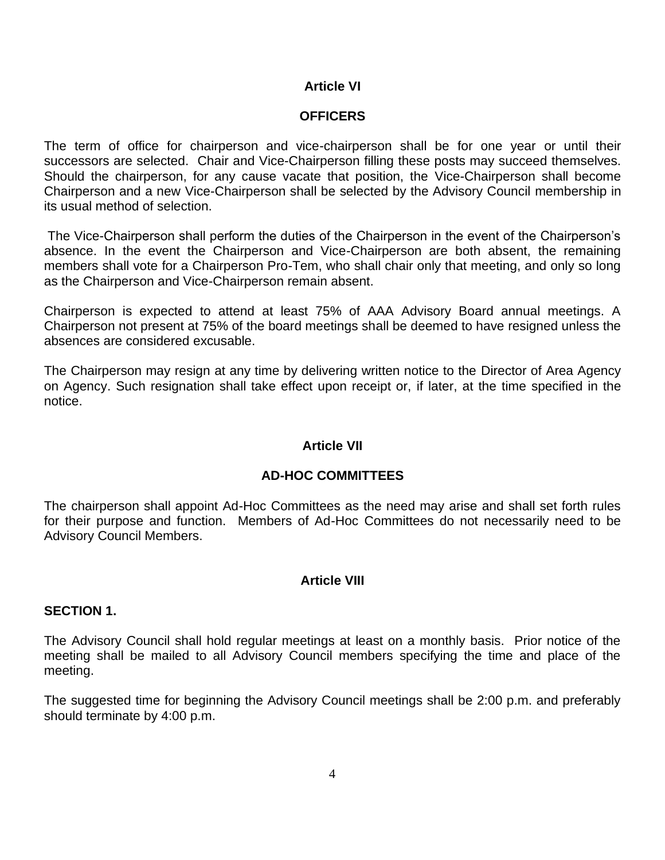# **Article VI**

## **OFFICERS**

The term of office for chairperson and vice-chairperson shall be for one year or until their successors are selected. Chair and Vice-Chairperson filling these posts may succeed themselves. Should the chairperson, for any cause vacate that position, the Vice-Chairperson shall become Chairperson and a new Vice-Chairperson shall be selected by the Advisory Council membership in its usual method of selection.

The Vice-Chairperson shall perform the duties of the Chairperson in the event of the Chairperson's absence. In the event the Chairperson and Vice-Chairperson are both absent, the remaining members shall vote for a Chairperson Pro-Tem, who shall chair only that meeting, and only so long as the Chairperson and Vice-Chairperson remain absent.

Chairperson is expected to attend at least 75% of AAA Advisory Board annual meetings. A Chairperson not present at 75% of the board meetings shall be deemed to have resigned unless the absences are considered excusable.

The Chairperson may resign at any time by delivering written notice to the Director of Area Agency on Agency. Such resignation shall take effect upon receipt or, if later, at the time specified in the notice.

# **Article VII**

## **AD-HOC COMMITTEES**

The chairperson shall appoint Ad-Hoc Committees as the need may arise and shall set forth rules for their purpose and function. Members of Ad-Hoc Committees do not necessarily need to be Advisory Council Members.

# **Article VIII**

## **SECTION 1.**

The Advisory Council shall hold regular meetings at least on a monthly basis. Prior notice of the meeting shall be mailed to all Advisory Council members specifying the time and place of the meeting.

The suggested time for beginning the Advisory Council meetings shall be 2:00 p.m. and preferably should terminate by 4:00 p.m.